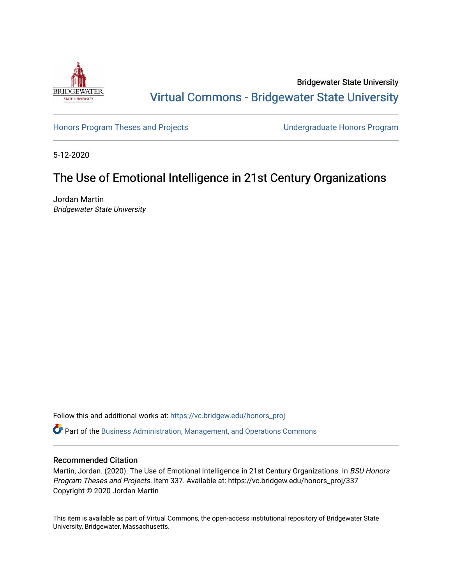

Bridgewater State University [Virtual Commons - Bridgewater State University](https://vc.bridgew.edu/) 

[Honors Program Theses and Projects](https://vc.bridgew.edu/honors_proj) [Undergraduate Honors Program](https://vc.bridgew.edu/honors) 

5-12-2020

# The Use of Emotional Intelligence in 21st Century Organizations

Jordan Martin Bridgewater State University

Follow this and additional works at: [https://vc.bridgew.edu/honors\\_proj](https://vc.bridgew.edu/honors_proj?utm_source=vc.bridgew.edu%2Fhonors_proj%2F337&utm_medium=PDF&utm_campaign=PDFCoverPages)

Part of the [Business Administration, Management, and Operations Commons](http://network.bepress.com/hgg/discipline/623?utm_source=vc.bridgew.edu%2Fhonors_proj%2F337&utm_medium=PDF&utm_campaign=PDFCoverPages)

# Recommended Citation

Martin, Jordan. (2020). The Use of Emotional Intelligence in 21st Century Organizations. In BSU Honors Program Theses and Projects. Item 337. Available at: https://vc.bridgew.edu/honors\_proj/337 Copyright © 2020 Jordan Martin

This item is available as part of Virtual Commons, the open-access institutional repository of Bridgewater State University, Bridgewater, Massachusetts.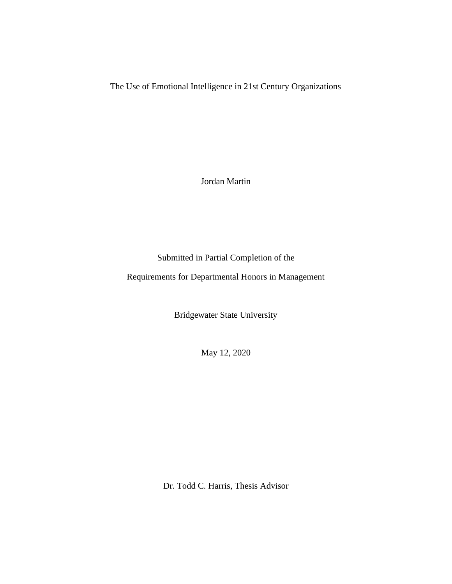The Use of Emotional Intelligence in 21st Century Organizations

Jordan Martin

Submitted in Partial Completion of the

Requirements for Departmental Honors in Management

Bridgewater State University

May 12, 2020

Dr. Todd C. Harris, Thesis Advisor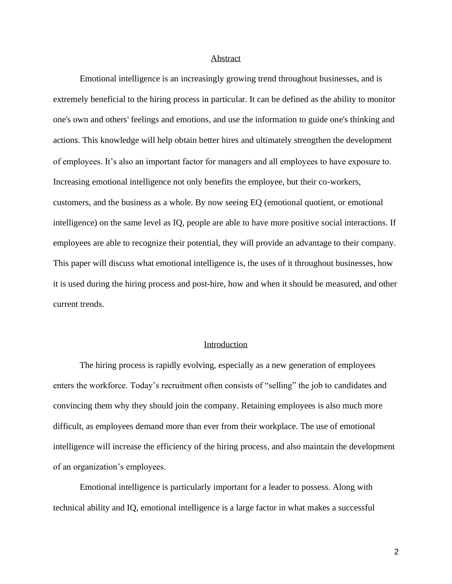# Abstract

Emotional intelligence is an increasingly growing trend throughout businesses, and is extremely beneficial to the hiring process in particular. It can be defined as the ability to monitor one's own and others' feelings and emotions, and use the information to guide one's thinking and actions. This knowledge will help obtain better hires and ultimately strengthen the development of employees. It's also an important factor for managers and all employees to have exposure to. Increasing emotional intelligence not only benefits the employee, but their co-workers, customers, and the business as a whole. By now seeing EQ (emotional quotient, or emotional intelligence) on the same level as IQ, people are able to have more positive social interactions. If employees are able to recognize their potential, they will provide an advantage to their company. This paper will discuss what emotional intelligence is, the uses of it throughout businesses, how it is used during the hiring process and post-hire, how and when it should be measured, and other current trends.

# Introduction

The hiring process is rapidly evolving, especially as a new generation of employees enters the workforce. Today's recruitment often consists of "selling" the job to candidates and convincing them why they should join the company. Retaining employees is also much more difficult, as employees demand more than ever from their workplace. The use of emotional intelligence will increase the efficiency of the hiring process, and also maintain the development of an organization's employees.

Emotional intelligence is particularly important for a leader to possess. Along with technical ability and IQ, emotional intelligence is a large factor in what makes a successful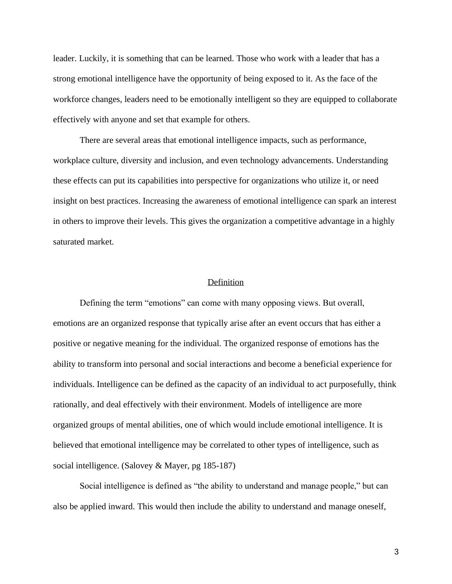leader. Luckily, it is something that can be learned. Those who work with a leader that has a strong emotional intelligence have the opportunity of being exposed to it. As the face of the workforce changes, leaders need to be emotionally intelligent so they are equipped to collaborate effectively with anyone and set that example for others.

There are several areas that emotional intelligence impacts, such as performance, workplace culture, diversity and inclusion, and even technology advancements. Understanding these effects can put its capabilities into perspective for organizations who utilize it, or need insight on best practices. Increasing the awareness of emotional intelligence can spark an interest in others to improve their levels. This gives the organization a competitive advantage in a highly saturated market.

## **Definition**

Defining the term "emotions" can come with many opposing views. But overall, emotions are an organized response that typically arise after an event occurs that has either a positive or negative meaning for the individual. The organized response of emotions has the ability to transform into personal and social interactions and become a beneficial experience for individuals. Intelligence can be defined as the capacity of an individual to act purposefully, think rationally, and deal effectively with their environment. Models of intelligence are more organized groups of mental abilities, one of which would include emotional intelligence. It is believed that emotional intelligence may be correlated to other types of intelligence, such as social intelligence. (Salovey & Mayer, pg 185-187)

Social intelligence is defined as "the ability to understand and manage people," but can also be applied inward. This would then include the ability to understand and manage oneself,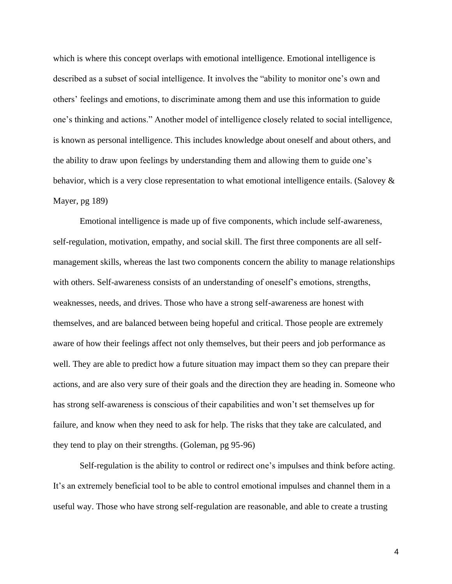which is where this concept overlaps with emotional intelligence. Emotional intelligence is described as a subset of social intelligence. It involves the "ability to monitor one's own and others' feelings and emotions, to discriminate among them and use this information to guide one's thinking and actions." Another model of intelligence closely related to social intelligence, is known as personal intelligence. This includes knowledge about oneself and about others, and the ability to draw upon feelings by understanding them and allowing them to guide one's behavior, which is a very close representation to what emotional intelligence entails. (Salovey & Mayer, pg 189)

Emotional intelligence is made up of five components, which include self-awareness, self-regulation, motivation, empathy, and social skill. The first three components are all selfmanagement skills, whereas the last two components concern the ability to manage relationships with others. Self-awareness consists of an understanding of oneself's emotions, strengths, weaknesses, needs, and drives. Those who have a strong self-awareness are honest with themselves, and are balanced between being hopeful and critical. Those people are extremely aware of how their feelings affect not only themselves, but their peers and job performance as well. They are able to predict how a future situation may impact them so they can prepare their actions, and are also very sure of their goals and the direction they are heading in. Someone who has strong self-awareness is conscious of their capabilities and won't set themselves up for failure, and know when they need to ask for help. The risks that they take are calculated, and they tend to play on their strengths. (Goleman, pg 95-96)

Self-regulation is the ability to control or redirect one's impulses and think before acting. It's an extremely beneficial tool to be able to control emotional impulses and channel them in a useful way. Those who have strong self-regulation are reasonable, and able to create a trusting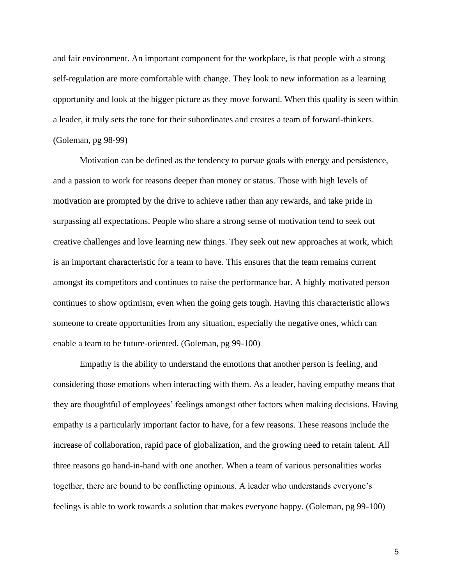and fair environment. An important component for the workplace, is that people with a strong self-regulation are more comfortable with change. They look to new information as a learning opportunity and look at the bigger picture as they move forward. When this quality is seen within a leader, it truly sets the tone for their subordinates and creates a team of forward-thinkers. (Goleman, pg 98-99)

Motivation can be defined as the tendency to pursue goals with energy and persistence, and a passion to work for reasons deeper than money or status. Those with high levels of motivation are prompted by the drive to achieve rather than any rewards, and take pride in surpassing all expectations. People who share a strong sense of motivation tend to seek out creative challenges and love learning new things. They seek out new approaches at work, which is an important characteristic for a team to have. This ensures that the team remains current amongst its competitors and continues to raise the performance bar. A highly motivated person continues to show optimism, even when the going gets tough. Having this characteristic allows someone to create opportunities from any situation, especially the negative ones, which can enable a team to be future-oriented. (Goleman, pg 99-100)

Empathy is the ability to understand the emotions that another person is feeling, and considering those emotions when interacting with them. As a leader, having empathy means that they are thoughtful of employees' feelings amongst other factors when making decisions. Having empathy is a particularly important factor to have, for a few reasons. These reasons include the increase of collaboration, rapid pace of globalization, and the growing need to retain talent. All three reasons go hand-in-hand with one another. When a team of various personalities works together, there are bound to be conflicting opinions. A leader who understands everyone's feelings is able to work towards a solution that makes everyone happy. (Goleman, pg 99-100)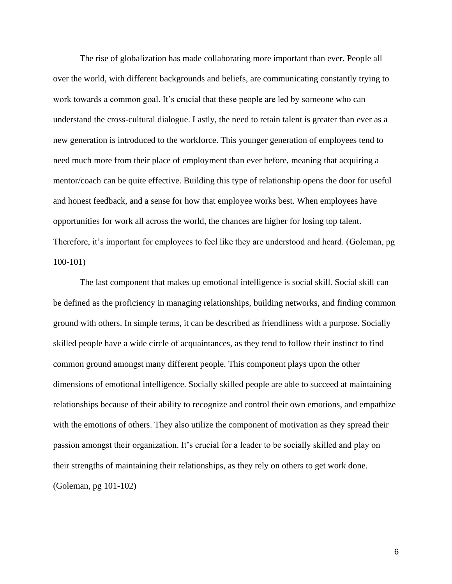The rise of globalization has made collaborating more important than ever. People all over the world, with different backgrounds and beliefs, are communicating constantly trying to work towards a common goal. It's crucial that these people are led by someone who can understand the cross-cultural dialogue. Lastly, the need to retain talent is greater than ever as a new generation is introduced to the workforce. This younger generation of employees tend to need much more from their place of employment than ever before, meaning that acquiring a mentor/coach can be quite effective. Building this type of relationship opens the door for useful and honest feedback, and a sense for how that employee works best. When employees have opportunities for work all across the world, the chances are higher for losing top talent. Therefore, it's important for employees to feel like they are understood and heard. (Goleman, pg 100-101)

The last component that makes up emotional intelligence is social skill. Social skill can be defined as the proficiency in managing relationships, building networks, and finding common ground with others. In simple terms, it can be described as friendliness with a purpose. Socially skilled people have a wide circle of acquaintances, as they tend to follow their instinct to find common ground amongst many different people. This component plays upon the other dimensions of emotional intelligence. Socially skilled people are able to succeed at maintaining relationships because of their ability to recognize and control their own emotions, and empathize with the emotions of others. They also utilize the component of motivation as they spread their passion amongst their organization. It's crucial for a leader to be socially skilled and play on their strengths of maintaining their relationships, as they rely on others to get work done. (Goleman, pg 101-102)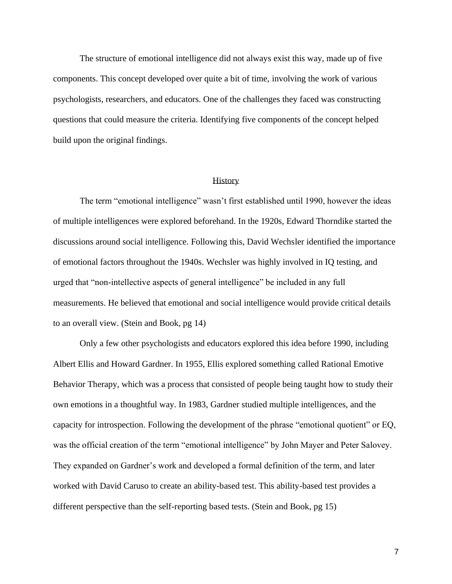The structure of emotional intelligence did not always exist this way, made up of five components. This concept developed over quite a bit of time, involving the work of various psychologists, researchers, and educators. One of the challenges they faced was constructing questions that could measure the criteria. Identifying five components of the concept helped build upon the original findings.

## **History**

The term "emotional intelligence" wasn't first established until 1990, however the ideas of multiple intelligences were explored beforehand. In the 1920s, Edward Thorndike started the discussions around social intelligence. Following this, David Wechsler identified the importance of emotional factors throughout the 1940s. Wechsler was highly involved in IQ testing, and urged that "non-intellective aspects of general intelligence" be included in any full measurements. He believed that emotional and social intelligence would provide critical details to an overall view. (Stein and Book, pg 14)

Only a few other psychologists and educators explored this idea before 1990, including Albert Ellis and Howard Gardner. In 1955, Ellis explored something called Rational Emotive Behavior Therapy, which was a process that consisted of people being taught how to study their own emotions in a thoughtful way. In 1983, Gardner studied multiple intelligences, and the capacity for introspection. Following the development of the phrase "emotional quotient" or EQ, was the official creation of the term "emotional intelligence" by John Mayer and Peter Salovey. They expanded on Gardner's work and developed a formal definition of the term, and later worked with David Caruso to create an ability-based test. This ability-based test provides a different perspective than the self-reporting based tests. (Stein and Book, pg 15)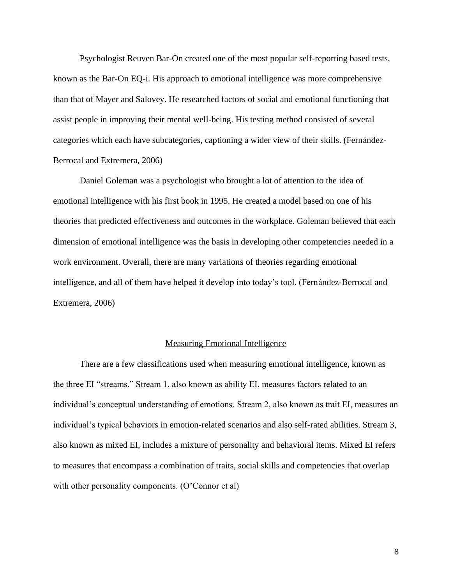Psychologist Reuven Bar-On created one of the most popular self-reporting based tests, known as the Bar-On EQ-i. His approach to emotional intelligence was more comprehensive than that of Mayer and Salovey. He researched factors of social and emotional functioning that assist people in improving their mental well-being. His testing method consisted of several categories which each have subcategories, captioning a wider view of their skills. (Fernández-Berrocal and Extremera, 2006)

Daniel Goleman was a psychologist who brought a lot of attention to the idea of emotional intelligence with his first book in 1995. He created a model based on one of his theories that predicted effectiveness and outcomes in the workplace. Goleman believed that each dimension of emotional intelligence was the basis in developing other competencies needed in a work environment. Overall, there are many variations of theories regarding emotional intelligence, and all of them have helped it develop into today's tool. (Fernández-Berrocal and Extremera, 2006)

#### Measuring Emotional Intelligence

There are a few classifications used when measuring emotional intelligence, known as the three EI "streams." Stream 1, also known as ability EI, measures factors related to an individual's conceptual understanding of emotions. Stream 2, also known as trait EI, measures an individual's typical behaviors in emotion-related scenarios and also self-rated abilities. Stream 3, also known as mixed EI, includes a mixture of personality and behavioral items. Mixed EI refers to measures that encompass a combination of traits, social skills and competencies that overlap with other personality components. (O'Connor et al)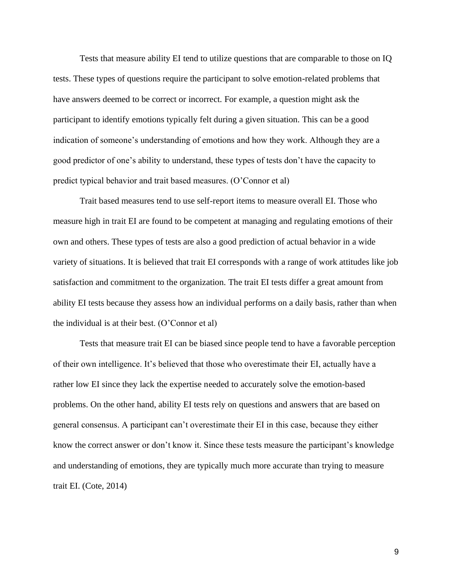Tests that measure ability EI tend to utilize questions that are comparable to those on IQ tests. These types of questions require the participant to solve emotion-related problems that have answers deemed to be correct or incorrect. For example, a question might ask the participant to identify emotions typically felt during a given situation. This can be a good indication of someone's understanding of emotions and how they work. Although they are a good predictor of one's ability to understand, these types of tests don't have the capacity to predict typical behavior and trait based measures. (O'Connor et al)

Trait based measures tend to use self-report items to measure overall EI. Those who measure high in trait EI are found to be competent at managing and regulating emotions of their own and others. These types of tests are also a good prediction of actual behavior in a wide variety of situations. It is believed that trait EI corresponds with a range of work attitudes like job satisfaction and commitment to the organization. The trait EI tests differ a great amount from ability EI tests because they assess how an individual performs on a daily basis, rather than when the individual is at their best. (O'Connor et al)

Tests that measure trait EI can be biased since people tend to have a favorable perception of their own intelligence. It's believed that those who overestimate their EI, actually have a rather low EI since they lack the expertise needed to accurately solve the emotion-based problems. On the other hand, ability EI tests rely on questions and answers that are based on general consensus. A participant can't overestimate their EI in this case, because they either know the correct answer or don't know it. Since these tests measure the participant's knowledge and understanding of emotions, they are typically much more accurate than trying to measure trait EI. (Cote, 2014)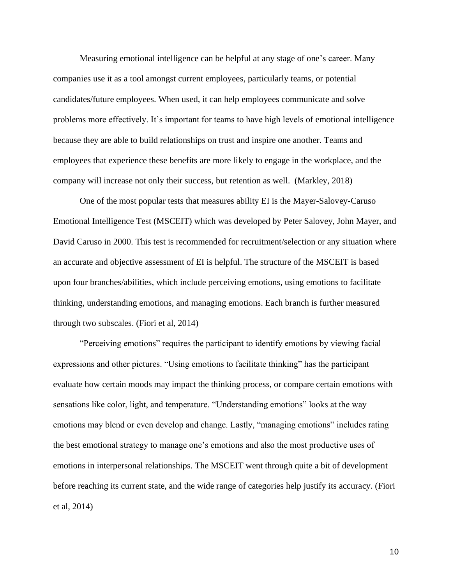Measuring emotional intelligence can be helpful at any stage of one's career. Many companies use it as a tool amongst current employees, particularly teams, or potential candidates/future employees. When used, it can help employees communicate and solve problems more effectively. It's important for teams to have high levels of emotional intelligence because they are able to build relationships on trust and inspire one another. Teams and employees that experience these benefits are more likely to engage in the workplace, and the company will increase not only their success, but retention as well. (Markley, 2018)

One of the most popular tests that measures ability EI is the [Mayer-Salovey-Caruso](https://langleygroup.com.au/services/accreditations-assessments/msceit/)  [Emotional Intelligence Test \(M](https://langleygroup.com.au/services/accreditations-assessments/msceit/)SCEI[T\)](https://langleygroup.com.au/services/accreditations-assessments/msceit/) which was developed by Peter Salovey, John Mayer, and David Caruso in 2000. This test is recommended for recruitment/selection or any situation where an accurate and objective assessment of EI is helpful. The structure of the MSCEIT is based upon four branches/abilities, which include perceiving emotions, using emotions to facilitate thinking, understanding emotions, and managing emotions. Each branch is further measured through two subscales. (Fiori et al, 2014)

"Perceiving emotions" requires the participant to identify emotions by viewing facial expressions and other pictures. "Using emotions to facilitate thinking" has the participant evaluate how certain moods may impact the thinking process, or compare certain emotions with sensations like color, light, and temperature. "Understanding emotions" looks at the way emotions may blend or even develop and change. Lastly, "managing emotions" includes rating the best emotional strategy to manage one's emotions and also the most productive uses of emotions in interpersonal relationships. The MSCEIT went through quite a bit of development before reaching its current state, and the wide range of categories help justify its accuracy. (Fiori et al, 2014)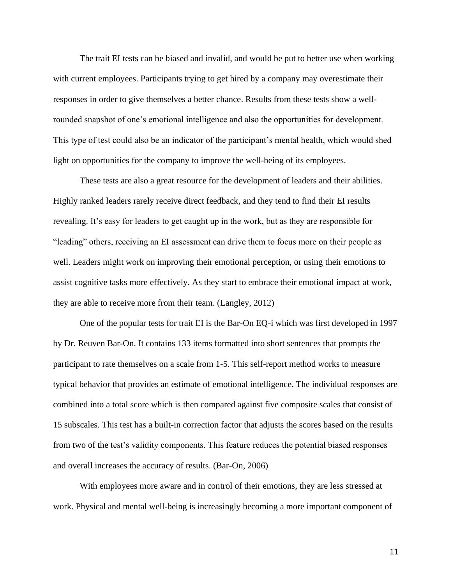The trait EI tests can be biased and invalid, and would be put to better use when working with current employees. Participants trying to get hired by a company may overestimate their responses in order to give themselves a better chance. Results from these tests show a wellrounded snapshot of one's emotional intelligence and also the opportunities for development. This type of test could also be an indicator of the participant's mental health, which would shed light on opportunities for the company to improve the well-being of its employees.

These tests are also a great resource for the development of leaders and their abilities. Highly ranked leaders rarely receive direct feedback, and they tend to find their EI results revealing. It's easy for leaders to get caught up in the work, but as they are responsible for "leading" others, receiving an EI assessment can drive them to focus more on their people as well. Leaders might work on improving their emotional perception, or using their emotions to assist cognitive tasks more effectively. As they start to embrace their emotional impact at work, they are able to receive more from their team. (Langley, 2012)

One of the popular tests for trait EI is the Bar-On EQ-i which was first developed in 1997 by Dr. Reuven Bar-On. It contains 133 items formatted into short sentences that prompts the participant to rate themselves on a scale from 1-5. This self-report method works to measure typical behavior that provides an estimate of emotional intelligence. The individual responses are combined into a total score which is then compared against five composite scales that consist of 15 subscales. This test has a built-in correction factor that adjusts the scores based on the results from two of the test's validity components. This feature reduces the potential biased responses and overall increases the accuracy of results. (Bar-On, 2006)

With employees more aware and in control of their emotions, they are less stressed at work. Physical and mental well-being is increasingly becoming a more important component of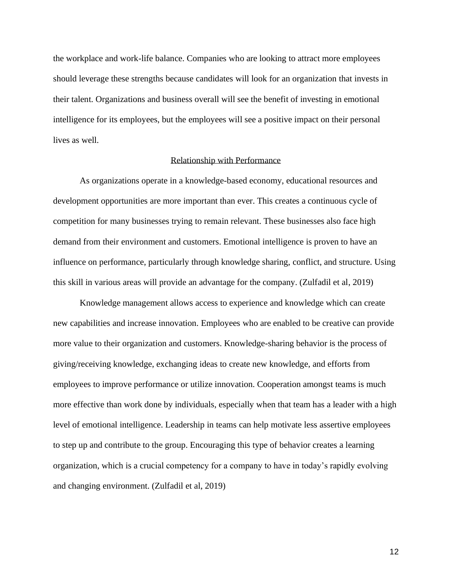the workplace and work-life balance. Companies who are looking to attract more employees should leverage these strengths because candidates will look for an organization that invests in their talent. Organizations and business overall will see the benefit of investing in emotional intelligence for its employees, but the employees will see a positive impact on their personal lives as well.

# Relationship with Performance

As organizations operate in a knowledge-based economy, educational resources and development opportunities are more important than ever. This creates a continuous cycle of competition for many businesses trying to remain relevant. These businesses also face high demand from their environment and customers. Emotional intelligence is proven to have an influence on performance, particularly through knowledge sharing, conflict, and structure. Using this skill in various areas will provide an advantage for the company. (Zulfadil et al, 2019)

Knowledge management allows access to experience and knowledge which can create new capabilities and increase innovation. Employees who are enabled to be creative can provide more value to their organization and customers. Knowledge-sharing behavior is the process of giving/receiving knowledge, exchanging ideas to create new knowledge, and efforts from employees to improve performance or utilize innovation. Cooperation amongst teams is much more effective than work done by individuals, especially when that team has a leader with a high level of emotional intelligence. Leadership in teams can help motivate less assertive employees to step up and contribute to the group. Encouraging this type of behavior creates a learning organization, which is a crucial competency for a company to have in today's rapidly evolving and changing environment. (Zulfadil et al, 2019)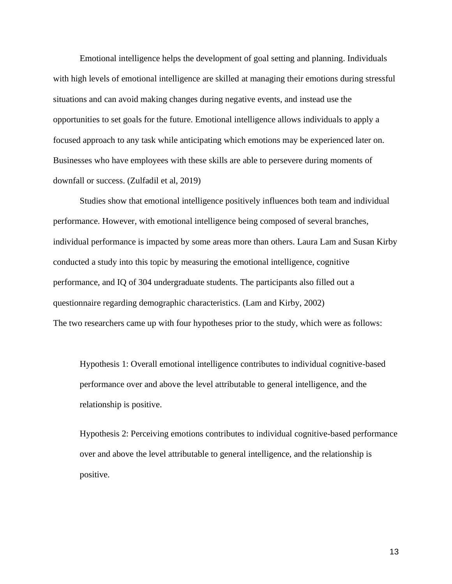Emotional intelligence helps the development of goal setting and planning. Individuals with high levels of emotional intelligence are skilled at managing their emotions during stressful situations and can avoid making changes during negative events, and instead use the opportunities to set goals for the future. Emotional intelligence allows individuals to apply a focused approach to any task while anticipating which emotions may be experienced later on. Businesses who have employees with these skills are able to persevere during moments of downfall or success. (Zulfadil et al, 2019)

Studies show that emotional intelligence positively influences both team and individual performance. However, with emotional intelligence being composed of several branches, individual performance is impacted by some areas more than others. Laura Lam and Susan Kirby conducted a study into this topic by measuring the emotional intelligence, cognitive performance, and IQ of 304 undergraduate students. The participants also filled out a questionnaire regarding demographic characteristics. (Lam and Kirby, 2002) The two researchers came up with four hypotheses prior to the study, which were as follows:

Hypothesis 1: Overall emotional intelligence contributes to individual cognitive-based performance over and above the level attributable to general intelligence, and the relationship is positive.

Hypothesis 2: Perceiving emotions contributes to individual cognitive-based performance over and above the level attributable to general intelligence, and the relationship is positive.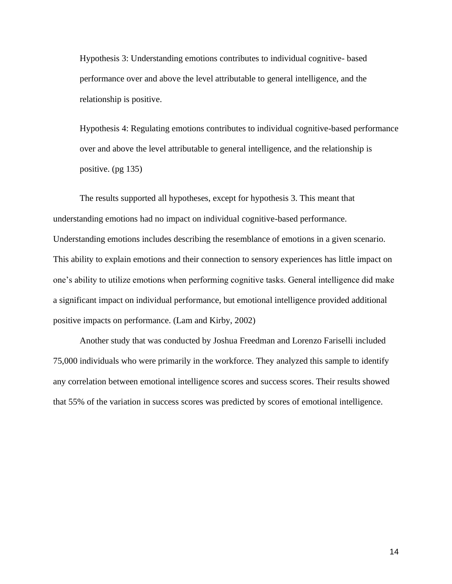Hypothesis 3: Understanding emotions contributes to individual cognitive- based performance over and above the level attributable to general intelligence, and the relationship is positive.

Hypothesis 4: Regulating emotions contributes to individual cognitive-based performance over and above the level attributable to general intelligence, and the relationship is positive. (pg 135)

The results supported all hypotheses, except for hypothesis 3. This meant that understanding emotions had no impact on individual cognitive-based performance. Understanding emotions includes describing the resemblance of emotions in a given scenario. This ability to explain emotions and their connection to sensory experiences has little impact on one's ability to utilize emotions when performing cognitive tasks. General intelligence did make a significant impact on individual performance, but emotional intelligence provided additional positive impacts on performance. (Lam and Kirby, 2002)

Another study that was conducted by Joshua Freedman and Lorenzo Fariselli included 75,000 individuals who were primarily in the workforce. They analyzed this sample to identify any correlation between emotional intelligence scores and success scores. Their results showed that 55% of the variation in success scores was predicted by scores of emotional intelligence.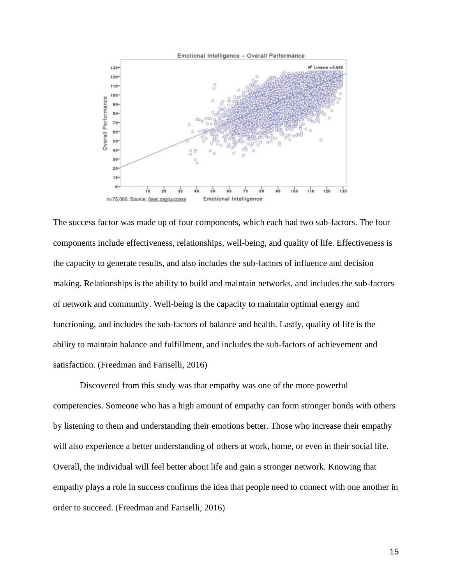

The success factor was made up of four components, which each had two sub-factors. The four components include effectiveness, relationships, well-being, and quality of life. Effectiveness is the capacity to generate results, and also includes the sub-factors of influence and decision making. Relationships is the ability to build and maintain networks, and includes the sub-factors of network and community. Well-being is the capacity to maintain optimal energy and functioning, and includes the sub-factors of balance and health. Lastly, quality of life is the ability to maintain balance and fulfillment, and includes the sub-factors of achievement and satisfaction. (Freedman and Fariselli, 2016)

Discovered from this study was that empathy was one of the more powerful competencies. Someone who has a high amount of empathy can form stronger bonds with others by listening to them and understanding their emotions better. Those who increase their empathy will also experience a better understanding of others at work, home, or even in their social life. Overall, the individual will feel better about life and gain a stronger network. Knowing that empathy plays a role in success confirms the idea that people need to connect with one another in order to succeed. (Freedman and Fariselli, 2016)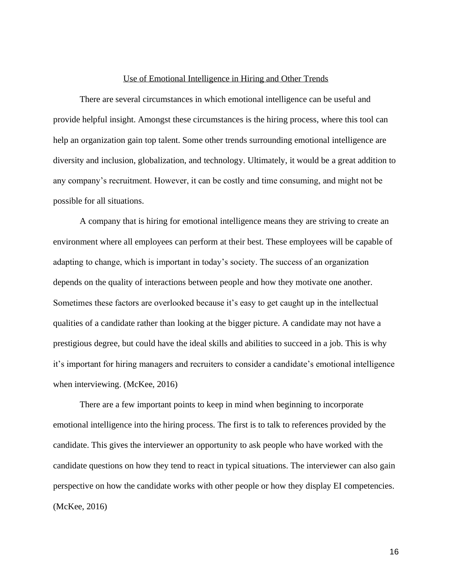#### Use of Emotional Intelligence in Hiring and Other Trends

There are several circumstances in which emotional intelligence can be useful and provide helpful insight. Amongst these circumstances is the hiring process, where this tool can help an organization gain top talent. Some other trends surrounding emotional intelligence are diversity and inclusion, globalization, and technology. Ultimately, it would be a great addition to any company's recruitment. However, it can be costly and time consuming, and might not be possible for all situations.

A company that is hiring for emotional intelligence means they are striving to create an environment where all employees can perform at their best. These employees will be capable of adapting to change, which is important in today's society. The success of an organization depends on the quality of interactions between people and how they motivate one another. Sometimes these factors are overlooked because it's easy to get caught up in the intellectual qualities of a candidate rather than looking at the bigger picture. A candidate may not have a prestigious degree, but could have the ideal skills and abilities to succeed in a job. This is why it's important for hiring managers and recruiters to consider a candidate's emotional intelligence when interviewing. (McKee, 2016)

There are a few important points to keep in mind when beginning to incorporate emotional intelligence into the hiring process. The first is to talk to references provided by the candidate. This gives the interviewer an opportunity to ask people who have worked with the candidate questions on how they tend to react in typical situations. The interviewer can also gain perspective on how the candidate works with other people or how they display EI competencies. (McKee, 2016)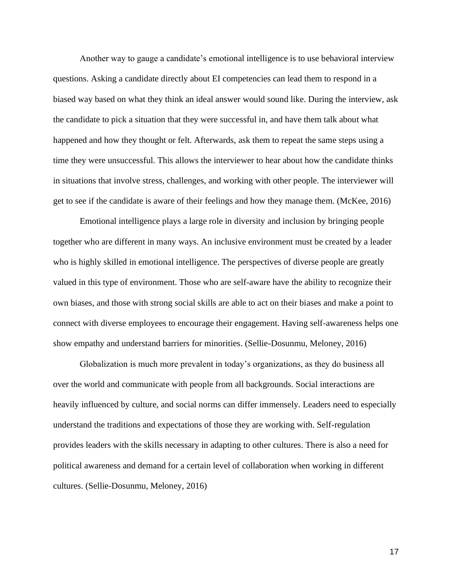Another way to gauge a candidate's emotional intelligence is to use behavioral interview questions. Asking a candidate directly about EI competencies can lead them to respond in a biased way based on what they think an ideal answer would sound like. During the interview, ask the candidate to pick a situation that they were successful in, and have them talk about what happened and how they thought or felt. Afterwards, ask them to repeat the same steps using a time they were unsuccessful. This allows the interviewer to hear about how the candidate thinks in situations that involve stress, challenges, and working with other people. The interviewer will get to see if the candidate is aware of their feelings and how they manage them. (McKee, 2016)

Emotional intelligence plays a large role in diversity and inclusion by bringing people together who are different in many ways. An inclusive environment must be created by a leader who is highly skilled in emotional intelligence. The perspectives of diverse people are greatly valued in this type of environment. Those who are self-aware have the ability to recognize their own biases, and those with strong social skills are able to act on their biases and make a point to connect with diverse employees to encourage their engagement. Having self-awareness helps one show empathy and understand barriers for minorities. (Sellie-Dosunmu, Meloney, 2016)

Globalization is much more prevalent in today's organizations, as they do business all over the world and communicate with people from all backgrounds. Social interactions are heavily influenced by culture, and social norms can differ immensely. Leaders need to especially understand the traditions and expectations of those they are working with. Self-regulation provides leaders with the skills necessary in adapting to other cultures. There is also a need for political awareness and demand for a certain level of collaboration when working in different cultures. (Sellie-Dosunmu, Meloney, 2016)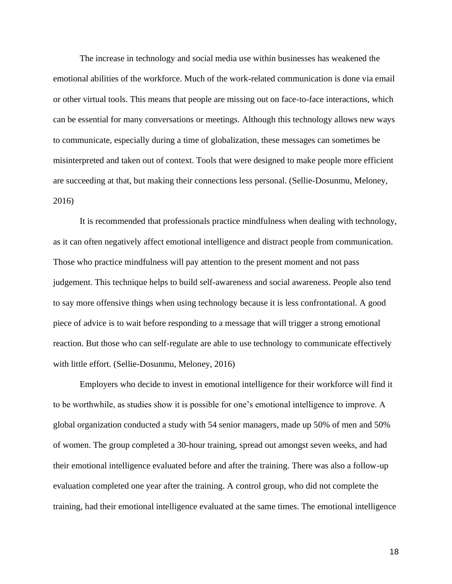The increase in technology and social media use within businesses has weakened the emotional abilities of the workforce. Much of the work-related communication is done via email or other virtual tools. This means that people are missing out on face-to-face interactions, which can be essential for many conversations or meetings. Although this technology allows new ways to communicate, especially during a time of globalization, these messages can sometimes be misinterpreted and taken out of context. Tools that were designed to make people more efficient are succeeding at that, but making their connections less personal. (Sellie-Dosunmu, Meloney, 2016)

It is recommended that professionals practice mindfulness when dealing with technology, as it can often negatively affect emotional intelligence and distract people from communication. Those who practice mindfulness will pay attention to the present moment and not pass judgement. This technique helps to build self-awareness and social awareness. People also tend to say more offensive things when using technology because it is less confrontational. A good piece of advice is to wait before responding to a message that will trigger a strong emotional reaction. But those who can self-regulate are able to use technology to communicate effectively with little effort. (Sellie-Dosunmu, Meloney, 2016)

Employers who decide to invest in emotional intelligence for their workforce will find it to be worthwhile, as studies show it is possible for one's emotional intelligence to improve. A global organization conducted a study with 54 senior managers, made up 50% of men and 50% of women. The group completed a 30-hour training, spread out amongst seven weeks, and had their emotional intelligence evaluated before and after the training. There was also a follow-up evaluation completed one year after the training. A control group, who did not complete the training, had their emotional intelligence evaluated at the same times. The emotional intelligence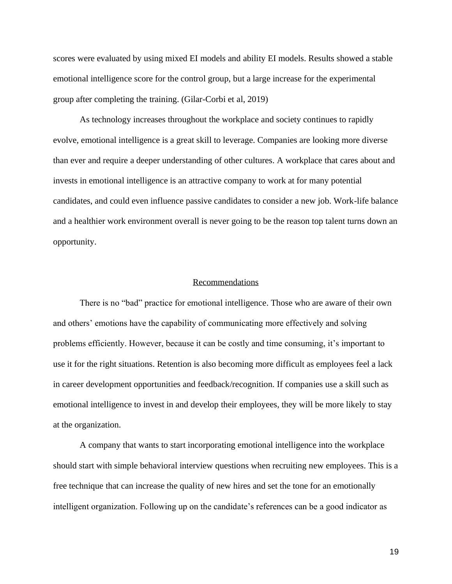scores were evaluated by using mixed EI models and ability EI models. Results showed a stable emotional intelligence score for the control group, but a large increase for the experimental group after completing the training. (Gilar-Corbi et al, 2019)

As technology increases throughout the workplace and society continues to rapidly evolve, emotional intelligence is a great skill to leverage. Companies are looking more diverse than ever and require a deeper understanding of other cultures. A workplace that cares about and invests in emotional intelligence is an attractive company to work at for many potential candidates, and could even influence passive candidates to consider a new job. Work-life balance and a healthier work environment overall is never going to be the reason top talent turns down an opportunity.

# Recommendations

There is no "bad" practice for emotional intelligence. Those who are aware of their own and others' emotions have the capability of communicating more effectively and solving problems efficiently. However, because it can be costly and time consuming, it's important to use it for the right situations. Retention is also becoming more difficult as employees feel a lack in career development opportunities and feedback/recognition. If companies use a skill such as emotional intelligence to invest in and develop their employees, they will be more likely to stay at the organization.

A company that wants to start incorporating emotional intelligence into the workplace should start with simple behavioral interview questions when recruiting new employees. This is a free technique that can increase the quality of new hires and set the tone for an emotionally intelligent organization. Following up on the candidate's references can be a good indicator as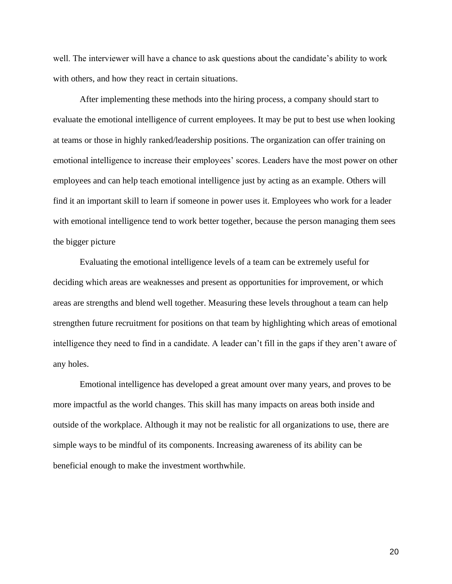well. The interviewer will have a chance to ask questions about the candidate's ability to work with others, and how they react in certain situations.

After implementing these methods into the hiring process, a company should start to evaluate the emotional intelligence of current employees. It may be put to best use when looking at teams or those in highly ranked/leadership positions. The organization can offer training on emotional intelligence to increase their employees' scores. Leaders have the most power on other employees and can help teach emotional intelligence just by acting as an example. Others will find it an important skill to learn if someone in power uses it. Employees who work for a leader with emotional intelligence tend to work better together, because the person managing them sees the bigger picture

Evaluating the emotional intelligence levels of a team can be extremely useful for deciding which areas are weaknesses and present as opportunities for improvement, or which areas are strengths and blend well together. Measuring these levels throughout a team can help strengthen future recruitment for positions on that team by highlighting which areas of emotional intelligence they need to find in a candidate. A leader can't fill in the gaps if they aren't aware of any holes.

Emotional intelligence has developed a great amount over many years, and proves to be more impactful as the world changes. This skill has many impacts on areas both inside and outside of the workplace. Although it may not be realistic for all organizations to use, there are simple ways to be mindful of its components. Increasing awareness of its ability can be beneficial enough to make the investment worthwhile.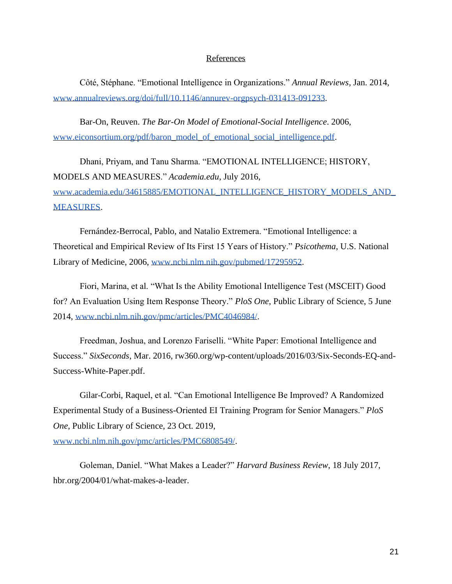## References

Côté, Stéphane. "Emotional Intelligence in Organizations." *Annual Reviews*, Jan. 2014, [www.annualreviews.org/doi/full/10.1146/annurev-orgpsych-031413-091233.](http://www.annualreviews.org/doi/full/10.1146/annurev-orgpsych-031413-091233)

Bar-On, Reuven. *The Bar-On Model of Emotional-Social Intelligence*. 2006, [www.eiconsortium.org/pdf/baron\\_model\\_of\\_emotional\\_social\\_intelligence.pdf.](http://www.eiconsortium.org/pdf/baron_model_of_emotional_social_intelligence.pdf)

Dhani, Priyam, and Tanu Sharma. "EMOTIONAL INTELLIGENCE; HISTORY, MODELS AND MEASURES." *Academia.edu*, July 2016, www.academia.edu/34615885/EMOTIONAL\_INTELLIGENCE\_HISTORY\_MODELS\_AND [MEASURES.](http://www.academia.edu/34615885/EMOTIONAL_INTELLIGENCE_HISTORY_MODELS_AND_MEASURES)

Fernández-Berrocal, Pablo, and Natalio Extremera. "Emotional Intelligence: a Theoretical and Empirical Review of Its First 15 Years of History." *Psicothema*, U.S. National Library of Medicine, 2006, [www.ncbi.nlm.nih.gov/pubmed/17295952.](http://www.ncbi.nlm.nih.gov/pubmed/17295952)

Fiori, Marina, et al. "What Is the Ability Emotional Intelligence Test (MSCEIT) Good for? An Evaluation Using Item Response Theory." *PloS One*, Public Library of Science, 5 June 2014, [www.ncbi.nlm.nih.gov/pmc/articles/PMC4046984/.](http://www.ncbi.nlm.nih.gov/pmc/articles/PMC4046984/)

Freedman, Joshua, and Lorenzo Fariselli. "White Paper: Emotional Intelligence and Success." *SixSeconds*, Mar. 2016, rw360.org/wp-content/uploads/2016/03/Six-Seconds-EQ-and-Success-White-Paper.pdf.

Gilar-Corbi, Raquel, et al. "Can Emotional Intelligence Be Improved? A Randomized Experimental Study of a Business-Oriented EI Training Program for Senior Managers." *PloS One*, Public Library of Science, 23 Oct. 2019, [www.ncbi.nlm.nih.gov/pmc/articles/PMC6808549/.](http://www.ncbi.nlm.nih.gov/pmc/articles/PMC6808549/)

Goleman, Daniel. "What Makes a Leader?" *Harvard Business Review*, 18 July 2017, hbr.org/2004/01/what-makes-a-leader.